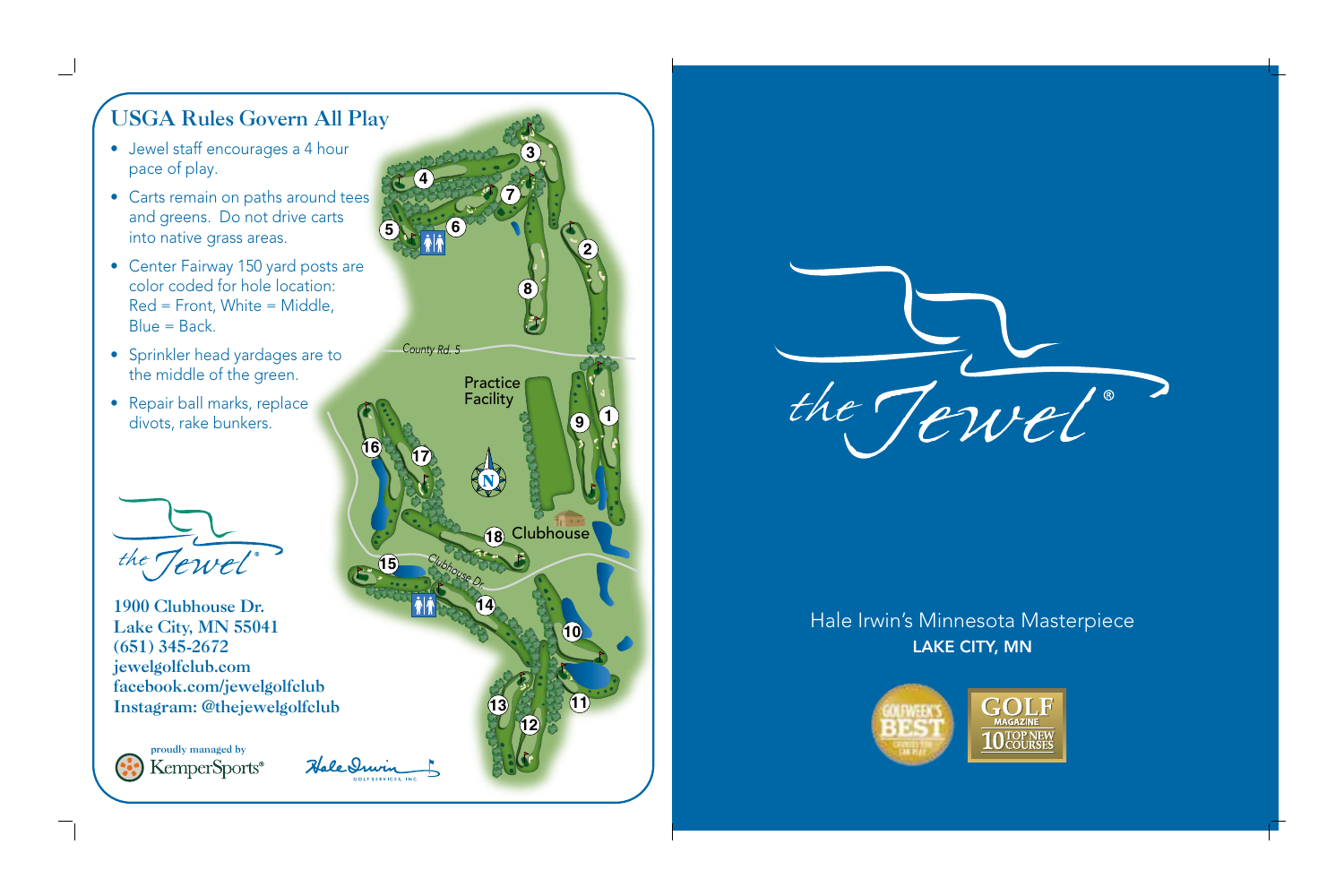## USGA Rules Govern All Play

- Jewel staff encourages a 4 hour pace of play.
- Carts remain on paths around tees and greens. Do not drive carts into native grass areas.
- Center Fairway 150 yard posts are color coded for hole location: Red = Front, White = Middle, Blue = Back.
- Sprinkler head yardages are to the middle of the green.
- Repair ball marks, replace divots, rake bunkers.



1900 Clubhouse Dr. Lake City, MN 55041 (651) 345-2672 jewelgolfclub.com facebook.com/jewelgolfclub Instagram: @thejewelgolfclub

proudly managed by<br>KemperSports®





## Hale Irwin's Minnesota Masterpiece LAKE CITY, MN